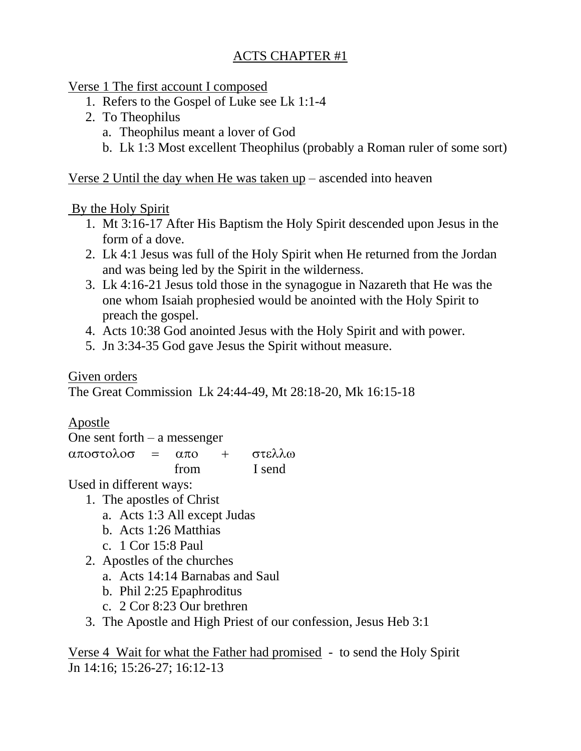Verse 1 The first account I composed

- 1. Refers to the Gospel of Luke see Lk 1:1-4
- 2. To Theophilus
	- a. Theophilus meant a lover of God
	- b. Lk 1:3 Most excellent Theophilus (probably a Roman ruler of some sort)

Verse 2 Until the day when He was taken up – ascended into heaven

#### By the Holy Spirit

- 1. Mt 3:16-17 After His Baptism the Holy Spirit descended upon Jesus in the form of a dove.
- 2. Lk 4:1 Jesus was full of the Holy Spirit when He returned from the Jordan and was being led by the Spirit in the wilderness.
- 3. Lk 4:16-21 Jesus told those in the synagogue in Nazareth that He was the one whom Isaiah prophesied would be anointed with the Holy Spirit to preach the gospel.
- 4. Acts 10:38 God anointed Jesus with the Holy Spirit and with power.
- 5. Jn 3:34-35 God gave Jesus the Spirit without measure.

Given orders

The Great Commission Lk 24:44-49, Mt 28:18-20, Mk 16:15-18

# Apostle

One sent forth – a messenger

 $\alpha\pi$ ooto $\lambda$ oo =  $\alpha\pi$ o + στελλω from I send

Used in different ways:

- 1. The apostles of Christ
	- a. Acts 1:3 All except Judas
	- b. Acts 1:26 Matthias
	- c. 1 Cor 15:8 Paul
- 2. Apostles of the churches
	- a. Acts 14:14 Barnabas and Saul
	- b. Phil 2:25 Epaphroditus
	- c. 2 Cor 8:23 Our brethren
- 3. The Apostle and High Priest of our confession, Jesus Heb 3:1

Verse 4 Wait for what the Father had promised - to send the Holy Spirit Jn 14:16; 15:26-27; 16:12-13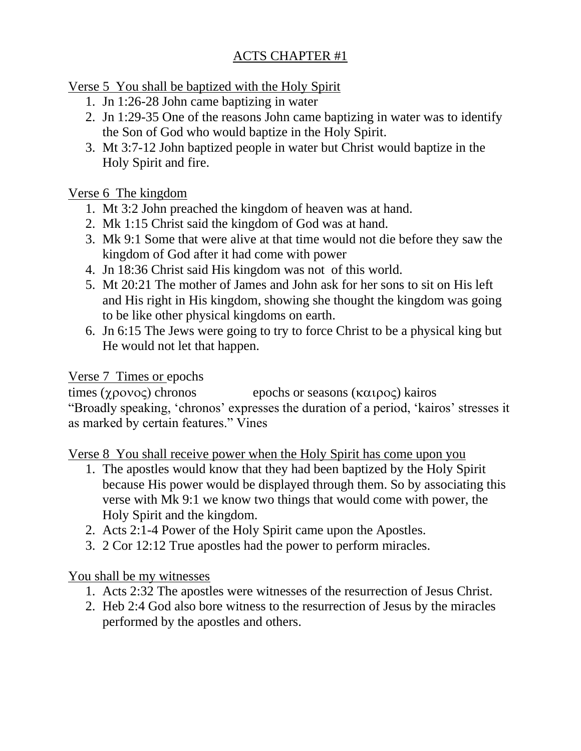Verse 5 You shall be baptized with the Holy Spirit

- 1. Jn 1:26-28 John came baptizing in water
- 2. Jn 1:29-35 One of the reasons John came baptizing in water was to identify the Son of God who would baptize in the Holy Spirit.
- 3. Mt 3:7-12 John baptized people in water but Christ would baptize in the Holy Spirit and fire.

#### Verse 6 The kingdom

- 1. Mt 3:2 John preached the kingdom of heaven was at hand.
- 2. Mk 1:15 Christ said the kingdom of God was at hand.
- 3. Mk 9:1 Some that were alive at that time would not die before they saw the kingdom of God after it had come with power
- 4. Jn 18:36 Christ said His kingdom was not of this world.
- 5. Mt 20:21 The mother of James and John ask for her sons to sit on His left and His right in His kingdom, showing she thought the kingdom was going to be like other physical kingdoms on earth.
- 6. Jn 6:15 The Jews were going to try to force Christ to be a physical king but He would not let that happen.

### Verse 7 Times or epochs

times  $(\chi \rho o \lor o \varsigma)$  chronos epochs or seasons  $(\kappa \alpha \iota \rho o \varsigma)$  kairos "Broadly speaking, 'chronos' expresses the duration of a period, 'kairos' stresses it as marked by certain features." Vines

Verse 8 You shall receive power when the Holy Spirit has come upon you

- 1. The apostles would know that they had been baptized by the Holy Spirit because His power would be displayed through them. So by associating this verse with Mk 9:1 we know two things that would come with power, the Holy Spirit and the kingdom.
- 2. Acts 2:1-4 Power of the Holy Spirit came upon the Apostles.
- 3. 2 Cor 12:12 True apostles had the power to perform miracles.

## You shall be my witnesses

- 1. Acts 2:32 The apostles were witnesses of the resurrection of Jesus Christ.
- 2. Heb 2:4 God also bore witness to the resurrection of Jesus by the miracles performed by the apostles and others.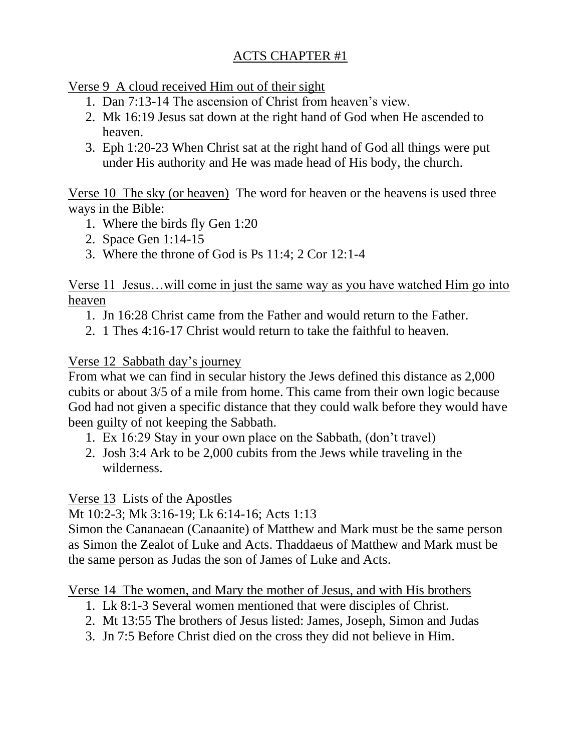### Verse 9 A cloud received Him out of their sight

- 1. Dan 7:13-14 The ascension of Christ from heaven's view.
- 2. Mk 16:19 Jesus sat down at the right hand of God when He ascended to heaven.
- 3. Eph 1:20-23 When Christ sat at the right hand of God all things were put under His authority and He was made head of His body, the church.

Verse 10 The sky (or heaven) The word for heaven or the heavens is used three ways in the Bible:

- 1. Where the birds fly Gen 1:20
- 2. Space Gen 1:14-15
- 3. Where the throne of God is Ps 11:4; 2 Cor 12:1-4

Verse 11 Jesus…will come in just the same way as you have watched Him go into heaven

- 1. Jn 16:28 Christ came from the Father and would return to the Father.
- 2. 1 Thes 4:16-17 Christ would return to take the faithful to heaven.

## Verse 12 Sabbath day's journey

From what we can find in secular history the Jews defined this distance as 2,000 cubits or about 3/5 of a mile from home. This came from their own logic because God had not given a specific distance that they could walk before they would have been guilty of not keeping the Sabbath.

- 1. Ex 16:29 Stay in your own place on the Sabbath, (don't travel)
- 2. Josh 3:4 Ark to be 2,000 cubits from the Jews while traveling in the wilderness.

Verse 13 Lists of the Apostles

Mt 10:2-3; Mk 3:16-19; Lk 6:14-16; Acts 1:13

Simon the Cananaean (Canaanite) of Matthew and Mark must be the same person as Simon the Zealot of Luke and Acts. Thaddaeus of Matthew and Mark must be the same person as Judas the son of James of Luke and Acts.

Verse 14 The women, and Mary the mother of Jesus, and with His brothers

- 1. Lk 8:1-3 Several women mentioned that were disciples of Christ.
- 2. Mt 13:55 The brothers of Jesus listed: James, Joseph, Simon and Judas
- 3. Jn 7:5 Before Christ died on the cross they did not believe in Him.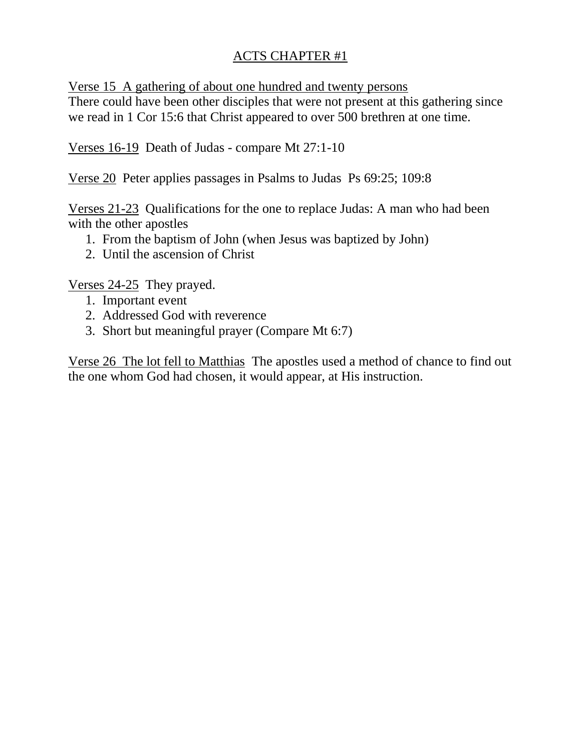Verse 15 A gathering of about one hundred and twenty persons

There could have been other disciples that were not present at this gathering since we read in 1 Cor 15:6 that Christ appeared to over 500 brethren at one time.

Verses 16-19 Death of Judas - compare Mt 27:1-10

Verse 20 Peter applies passages in Psalms to Judas Ps 69:25; 109:8

Verses 21-23 Qualifications for the one to replace Judas: A man who had been with the other apostles

- 1. From the baptism of John (when Jesus was baptized by John)
- 2. Until the ascension of Christ

Verses 24-25 They prayed.

- 1. Important event
- 2. Addressed God with reverence
- 3. Short but meaningful prayer (Compare Mt 6:7)

Verse 26 The lot fell to Matthias The apostles used a method of chance to find out the one whom God had chosen, it would appear, at His instruction.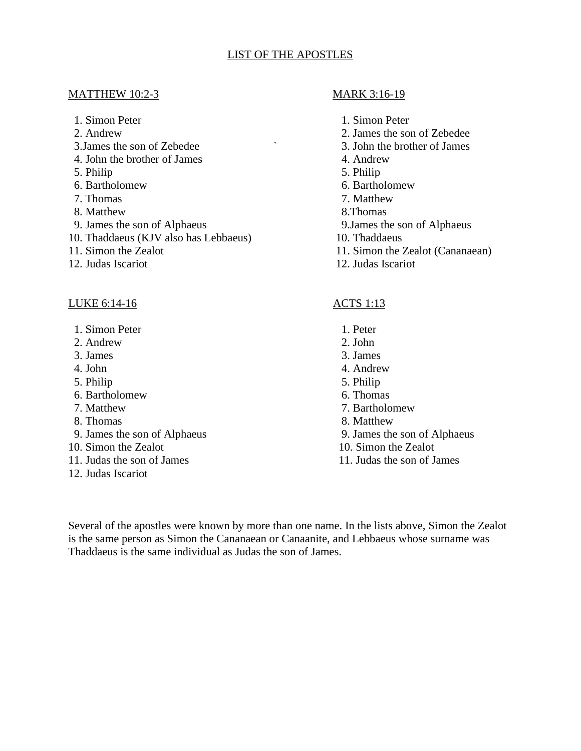#### LIST OF THE APOSTLES

#### MATTHEW 10:2-3 MARK 3:16-19

- 
- 
- 3.James the son of Zebedee ` 3. John the brother of James
- 4. John the brother of James 4. Andrew
- 5. Philip 5. Philip
- 6. Bartholomew 6. Bartholomew
- 7. Thomas 7. Matthew
- 8. Matthew 8. Thomas
- 9. James the son of Alphaeus 9.James the son of Alphaeus
- 10. Thaddaeus (KJV also has Lebbaeus) 10. Thaddaeus
- 
- 12. Judas Iscariot 12. Judas Iscariot

#### LUKE 6:14-16 ACTS 1:13

- 1. Simon Peter 1. Peter 1. Peter
- 2. Andrew 2. John
- 3. James 3. James
- 
- 5. Philip 5. Philip
- 6. Bartholomew 6. Thomas
- 
- 
- 9. James the son of Alphaeus 9. James the son of Alphaeus
- 10. Simon the Zealot 10. Simon the Zealot
- 11. Judas the son of James 11. Judas the son of James
- 12. Judas Iscariot

- 1. Simon Peter 1. Simon Peter
- 2. Andrew 2. James the son of Zebedee
	-
	-
	-
	-
	-
	-
	-
	-
- 11. Simon the Zealot 11. Simon the Zealot (Cananaean)
	-

- 
- 
- 
- 4. John 4. Andrew
	-
	-
- 7. Matthew 7. Bartholomew
- 8. Thomas 8. Matthew
	-
	-
	-

Several of the apostles were known by more than one name. In the lists above, Simon the Zealot is the same person as Simon the Cananaean or Canaanite, and Lebbaeus whose surname was Thaddaeus is the same individual as Judas the son of James.